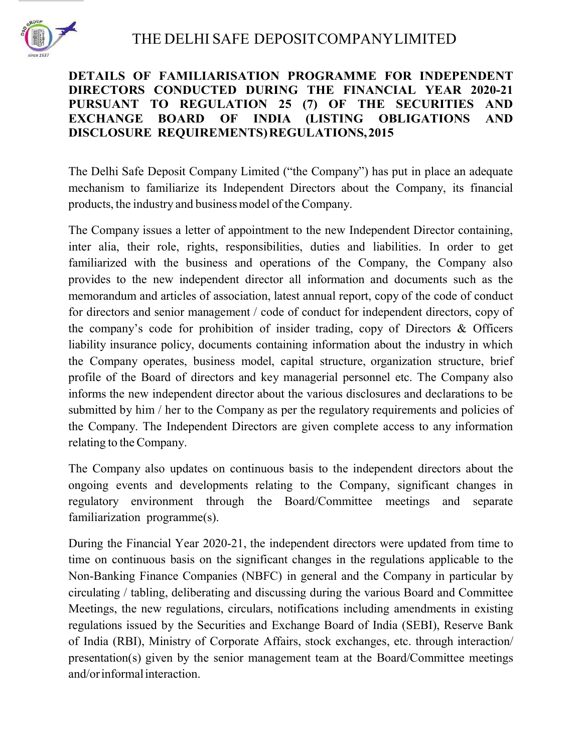

## DETAILS OF FAMILIARISATION PROGRAMME FOR INDEPENDENT DIRECTORS CONDUCTED DURING THE FINANCIAL YEAR 2020-21 PURSUANT TO REGULATION 25 (7) OF THE SECURITIES AND EXCHANGE BOARD OF INDIA (LISTING OBLIGATIONS AND DISCLOSURE REQUIREMENTS) REGULATIONS, 2015

The Delhi Safe Deposit Company Limited ("the Company") has put in place an adequate mechanism to familiarize its Independent Directors about the Company, its financial products, the industry and business model of the Company.

The Company issues a letter of appointment to the new Independent Director containing, inter alia, their role, rights, responsibilities, duties and liabilities. In order to get familiarized with the business and operations of the Company, the Company also provides to the new independent director all information and documents such as the memorandum and articles of association, latest annual report, copy of the code of conduct for directors and senior management / code of conduct for independent directors, copy of the company's code for prohibition of insider trading, copy of Directors & Officers liability insurance policy, documents containing information about the industry in which the Company operates, business model, capital structure, organization structure, brief profile of the Board of directors and key managerial personnel etc. The Company also informs the new independent director about the various disclosures and declarations to be submitted by him / her to the Company as per the regulatory requirements and policies of the Company. The Independent Directors are given complete access to any information relating to the Company.

The Company also updates on continuous basis to the independent directors about the ongoing events and developments relating to the Company, significant changes in regulatory environment through the Board/Committee meetings and separate familiarization programme(s).

During the Financial Year 2020-21, the independent directors were updated from time to time on continuous basis on the significant changes in the regulations applicable to the Non-Banking Finance Companies (NBFC) in general and the Company in particular by circulating / tabling, deliberating and discussing during the various Board and Committee Meetings, the new regulations, circulars, notifications including amendments in existing regulations issued by the Securities and Exchange Board of India (SEBI), Reserve Bank of India (RBI), Ministry of Corporate Affairs, stock exchanges, etc. through interaction/ presentation(s) given by the senior management team at the Board/Committee meetings and/or informal interaction.